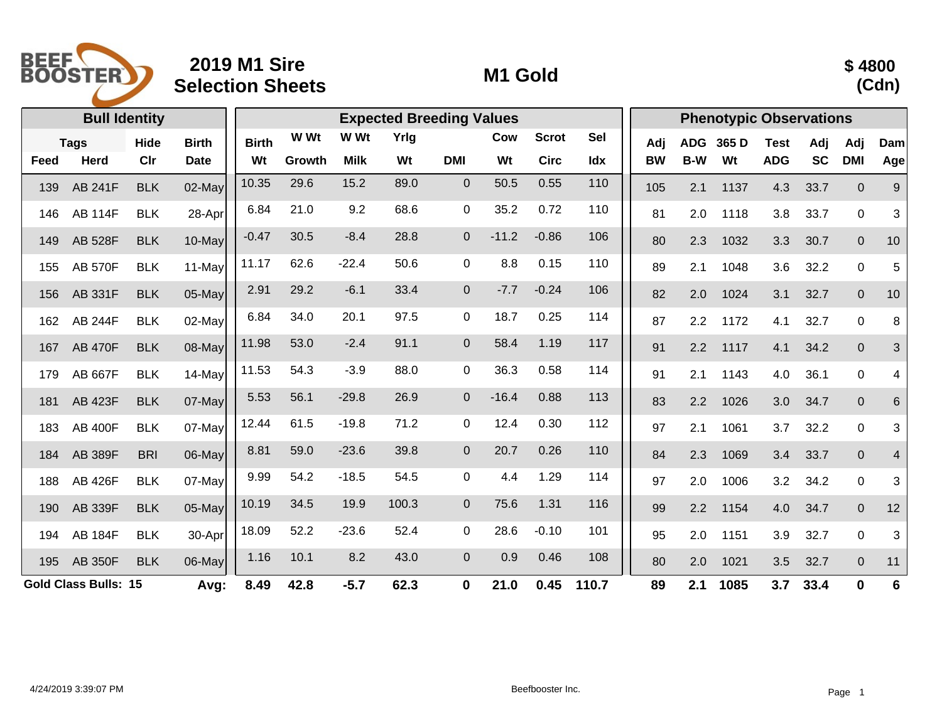

## **2019 M1 Sire Selection Sheets M1 Gold**



|                                     | <b>Bull Identity</b> |            |              | <b>Expected Breeding Values</b> |        |             |             |                |         |              |            | <b>Phenotypic Observations</b> |            |       |             |             |                  |     |  |
|-------------------------------------|----------------------|------------|--------------|---------------------------------|--------|-------------|-------------|----------------|---------|--------------|------------|--------------------------------|------------|-------|-------------|-------------|------------------|-----|--|
| <b>Tags</b>                         |                      | Hide       | <b>Birth</b> | <b>Birth</b>                    | W Wt   | W Wt        | Yrlg        |                | Cow     | <b>Scrot</b> | <b>Sel</b> | Adj                            | <b>ADG</b> | 365 D | <b>Test</b> | Adj         | Adj              | Dam |  |
| Feed                                | <b>Herd</b>          | CIr        | <b>Date</b>  | Wt                              | Growth | <b>Milk</b> | Wt          | <b>DMI</b>     | Wt      | <b>Circ</b>  | Idx        | <b>BW</b>                      | B-W        | Wt    | <b>ADG</b>  | <b>SC</b>   | <b>DMI</b>       | Age |  |
| 139                                 | <b>AB 241F</b>       | <b>BLK</b> | $02$ -May    | 10.35                           | 29.6   | 15.2        | 89.0        | $\mathbf{0}$   | 50.5    | 0.55         | 110        | 105                            | 2.1        | 1137  | 4.3         | 33.7        | $\Omega$         | 9   |  |
| 146                                 | <b>AB 114F</b>       | <b>BLK</b> | 28-Apr       | 6.84                            | 21.0   | 9.2         | 68.6        | 0              | 35.2    | 0.72         | 110        | 81                             | 2.0        | 1118  | 3.8         | 33.7        | $\mathbf 0$      | 3   |  |
| 149                                 | <b>AB 528F</b>       | <b>BLK</b> | $10$ -May    | $-0.47$                         | 30.5   | $-8.4$      | 28.8        | $\mathbf{0}$   | $-11.2$ | $-0.86$      | 106        | 80                             | 2.3        | 1032  | 3.3         | 30.7        | $\mathbf 0$      | 10  |  |
| 155                                 | <b>AB 570F</b>       | <b>BLK</b> | 11-May       | 11.17                           | 62.6   | $-22.4$     | 50.6        | $\mathbf 0$    | 8.8     | 0.15         | 110        | 89                             | 2.1        | 1048  | 3.6         | 32.2        | $\mathbf 0$      | 5   |  |
| 156                                 | <b>AB 331F</b>       | <b>BLK</b> | 05-May       | 2.91                            | 29.2   | $-6.1$      | 33.4        | $\overline{0}$ | $-7.7$  | $-0.24$      | 106        | 82                             | 2.0        | 1024  | 3.1         | 32.7        | $\mathbf 0$      | 10  |  |
| 162                                 | <b>AB 244F</b>       | <b>BLK</b> | 02-May       | 6.84                            | 34.0   | 20.1        | 97.5        | $\mathbf 0$    | 18.7    | 0.25         | 114        | 87                             | 2.2        | 1172  | 4.1         | 32.7        | $\pmb{0}$        | 8   |  |
| 167                                 | <b>AB 470F</b>       | <b>BLK</b> | $08$ -May    | 11.98                           | 53.0   | $-2.4$      | 91.1        | $\mathbf 0$    | 58.4    | 1.19         | 117        | 91                             | 2.2        | 1117  | 4.1         | 34.2        | $\pmb{0}$        | 3   |  |
| 179                                 | <b>AB 667F</b>       | <b>BLK</b> | 14-May       | 11.53                           | 54.3   | $-3.9$      | 88.0        | 0              | 36.3    | 0.58         | 114        | 91                             | 2.1        | 1143  | 4.0         | 36.1        | $\boldsymbol{0}$ | 4   |  |
| 181                                 | <b>AB 423F</b>       | <b>BLK</b> | $07$ -May    | 5.53                            | 56.1   | $-29.8$     | 26.9        | $\mathbf 0$    | $-16.4$ | 0.88         | 113        | 83                             | 2.2        | 1026  | 3.0         | 34.7        | $\pmb{0}$        | 6   |  |
| 183                                 | <b>AB 400F</b>       | <b>BLK</b> | 07-May       | 12.44                           | 61.5   | $-19.8$     | 71.2        | $\mathbf 0$    | 12.4    | 0.30         | 112        | 97                             | 2.1        | 1061  | 3.7         | 32.2        | $\boldsymbol{0}$ | 3   |  |
| 184                                 | <b>AB 389F</b>       | <b>BRI</b> | 06-May       | 8.81                            | 59.0   | $-23.6$     | 39.8        | $\mathbf 0$    | 20.7    | 0.26         | 110        | 84                             | 2.3        | 1069  | 3.4         | 33.7        | $\mathbf 0$      | 4   |  |
| 188                                 | <b>AB 426F</b>       | <b>BLK</b> | 07-May       | 9.99                            | 54.2   | $-18.5$     | 54.5        | 0              | 4.4     | 1.29         | 114        | 97                             | 2.0        | 1006  | 3.2         | 34.2        | $\pmb{0}$        | 3   |  |
| 190                                 | AB 339F              | <b>BLK</b> | $05$ -May    | 10.19                           | 34.5   | 19.9        | 100.3       | $\overline{0}$ | 75.6    | 1.31         | 116        | 99                             | 2.2        | 1154  | 4.0         | 34.7        | $\pmb{0}$        | 12  |  |
| 194                                 | <b>AB 184F</b>       | <b>BLK</b> | 30-Apr       | 18.09                           | 52.2   | $-23.6$     | 52.4        | $\mathbf 0$    | 28.6    | $-0.10$      | 101        | 95                             | 2.0        | 1151  | 3.9         | 32.7        | $\mathbf 0$      | 3   |  |
| 195                                 | <b>AB 350F</b>       | <b>BLK</b> | $06$ -May    | 1.16                            | 10.1   | 8.2         | 43.0        | $\mathbf{0}$   | 0.9     | 0.46         | 108        | 80                             | 2.0        | 1021  | 3.5         | 32.7        | $\mathbf 0$      | 11  |  |
| <b>Gold Class Bulls: 15</b><br>Avg: |                      |            | 8.49         | 42.8                            | $-5.7$ | 62.3        | $\mathbf 0$ | 21.0           | 0.45    | 110.7        | 89         | 2.1                            | 1085       | 3.7   | 33.4        | $\mathbf 0$ | $6\phantom{1}6$  |     |  |